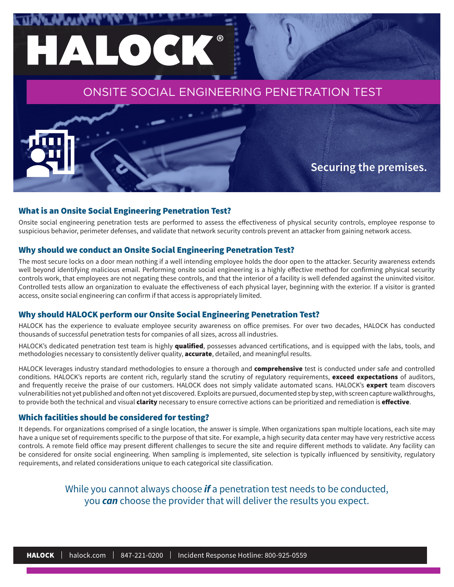### ONSITE SOCIAL ENGINEERING PENETRATION TEST

**Securing the premises.**

#### What is an Onsite Social Engineering Penetration Test?

HALOCK®

Onsite social engineering penetration tests are performed to assess the effectiveness of physical security controls, employee response to suspicious behavior, perimeter defenses, and validate that network security controls prevent an attacker from gaining network access.

#### Why should we conduct an Onsite Social Engineering Penetration Test?

The most secure locks on a door mean nothing if a well intending employee holds the door open to the attacker. Security awareness extends well beyond identifying malicious email. Performing onsite social engineering is a highly effective method for confirming physical security controls work, that employees are not negating these controls, and that the interior of a facility is well defended against the uninvited visitor. Controlled tests allow an organization to evaluate the effectiveness of each physical layer, beginning with the exterior. If a visitor is granted access, onsite social engineering can confirm if that access is appropriately limited.

#### Why should HALOCK perform our Onsite Social Engineering Penetration Test?

HALOCK has the experience to evaluate employee security awareness on office premises. For over two decades, HALOCK has conducted thousands of successful penetration tests for companies of all sizes, across all industries.

HALOCK's dedicated penetration test team is highly qualified, possesses advanced certifications, and is equipped with the labs, tools, and methodologies necessary to consistently deliver quality, **accurate**, detailed, and meaningful results.

HALOCK leverages industry standard methodologies to ensure a thorough and comprehensive test is conducted under safe and controlled conditions. HALOCK's reports are content rich, regularly stand the scrutiny of regulatory requirements, exceed expectations of auditors, and frequently receive the praise of our customers. HALOCK does not simply validate automated scans. HALOCK's expert team discovers vulnerabilities not yet published and often not yet discovered. Exploits are pursued, documented step by step, with screen capture walkthroughs, to provide both the technical and visual *clarity* necessary to ensure corrective actions can be prioritized and remediation is effective.

#### Which facilities should be considered for testing?

It depends. For organizations comprised of a single location, the answer is simple. When organizations span multiple locations, each site may have a unique set of requirements specific to the purpose of that site. For example, a high security data center may have very restrictive access controls. A remote field office may present different challenges to secure the site and require different methods to validate. Any facility can be considered for onsite social engineering. When sampling is implemented, site selection is typically influenced by sensitivity, regulatory requirements, and related considerations unique to each categorical site classification.

> While you cannot always choose *if* a penetration test needs to be conducted, you *can* choose the provider that will deliver the results you expect.